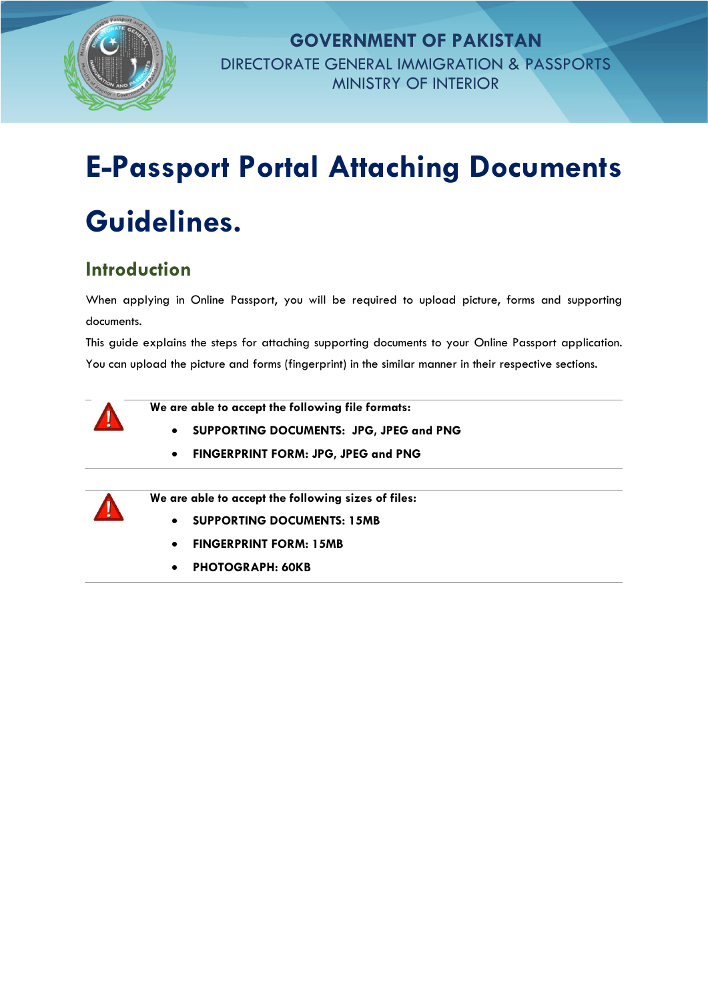

**GOVERNMENT OF PAKISTAN** DIRECTORATE GENERAL IMMIGRATION & PASSPORTS MINISTRY OF INTERIOR

## **E-Passport Portal Attaching Documents Guidelines.**

## **Introduction**

When applying in Online Passport, you will be required to upload picture, forms and supporting documents.

This guide explains the steps for attaching supporting documents to your Online Passport application. You can upload the picture and forms (fingerprint) in the similar manner in their respective sections.



**We are able to accept the following file formats:**

- **SUPPORTING DOCUMENTS: JPG, JPEG and PNG**
- **FINGERPRINT FORM: JPG, JPEG and PNG**



**We are able to accept the following sizes of files:**

- **SUPPORTING DOCUMENTS: 15MB**
- **FINGERPRINT FORM: 15MB**
- **PHOTOGRAPH: 60KB**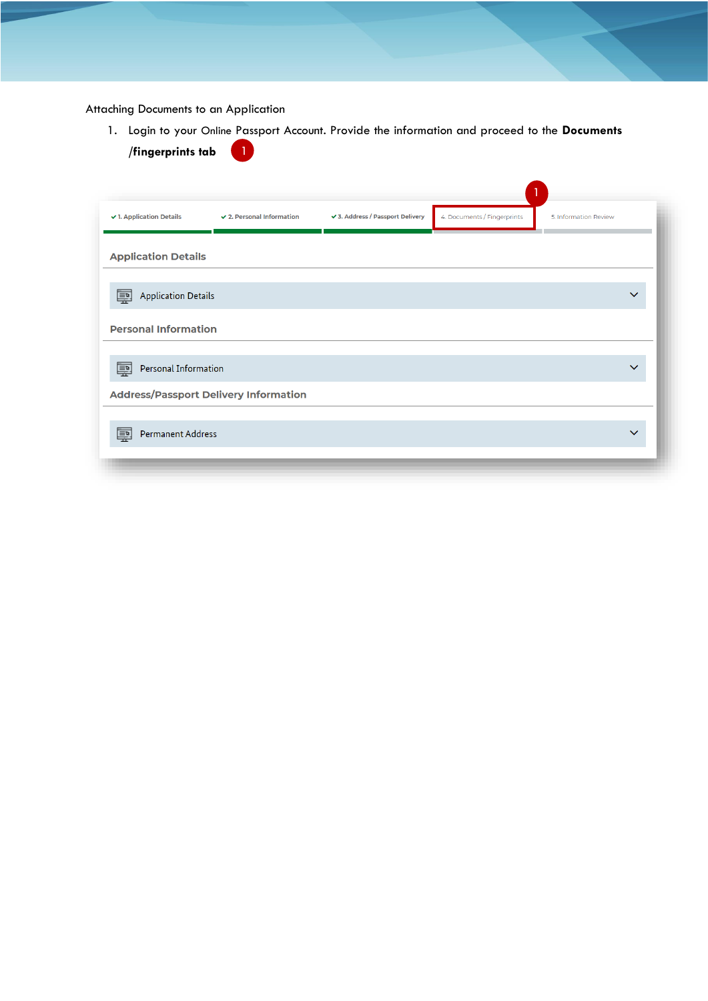Attaching Documents to an Application

1. Login to your Online Passport Account. Provide the information and proceed to the **Documents /fingerprints tab**  $\bullet$ 

| ↓ 1. Application Details                     | $\checkmark$ 2. Personal Information | √ 3. Address / Passport Delivery | 4. Documents / Fingerprints | 5. Information Review |
|----------------------------------------------|--------------------------------------|----------------------------------|-----------------------------|-----------------------|
| <b>Application Details</b>                   |                                      |                                  |                             |                       |
| <b>Application Details</b><br>国              |                                      |                                  |                             |                       |
| <b>Personal Information</b>                  |                                      |                                  |                             |                       |
| Personal Information<br>$\equiv$             |                                      |                                  |                             | $\checkmark$          |
| <b>Address/Passport Delivery Information</b> |                                      |                                  |                             |                       |
| Permanent Address<br>$\equiv$                |                                      |                                  |                             | $\checkmark$          |
|                                              |                                      |                                  |                             |                       |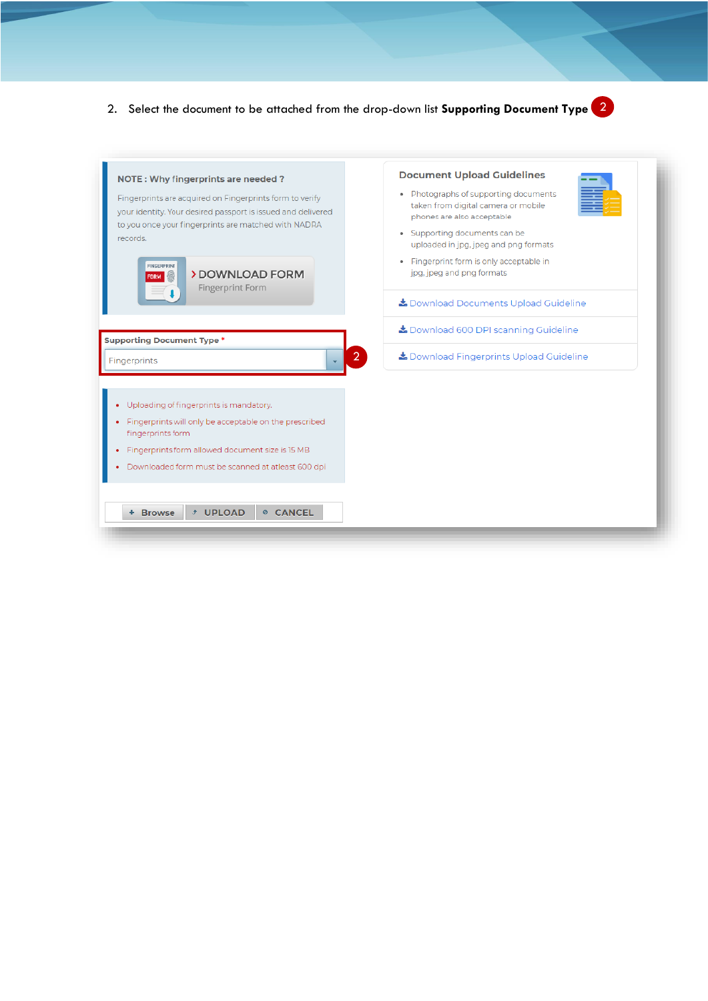

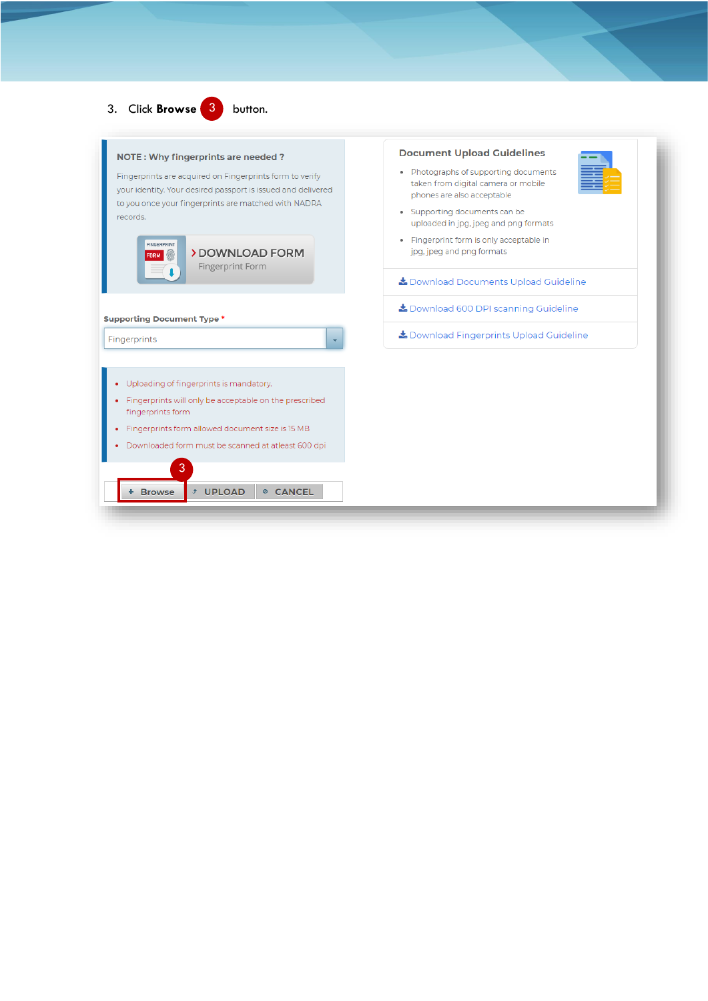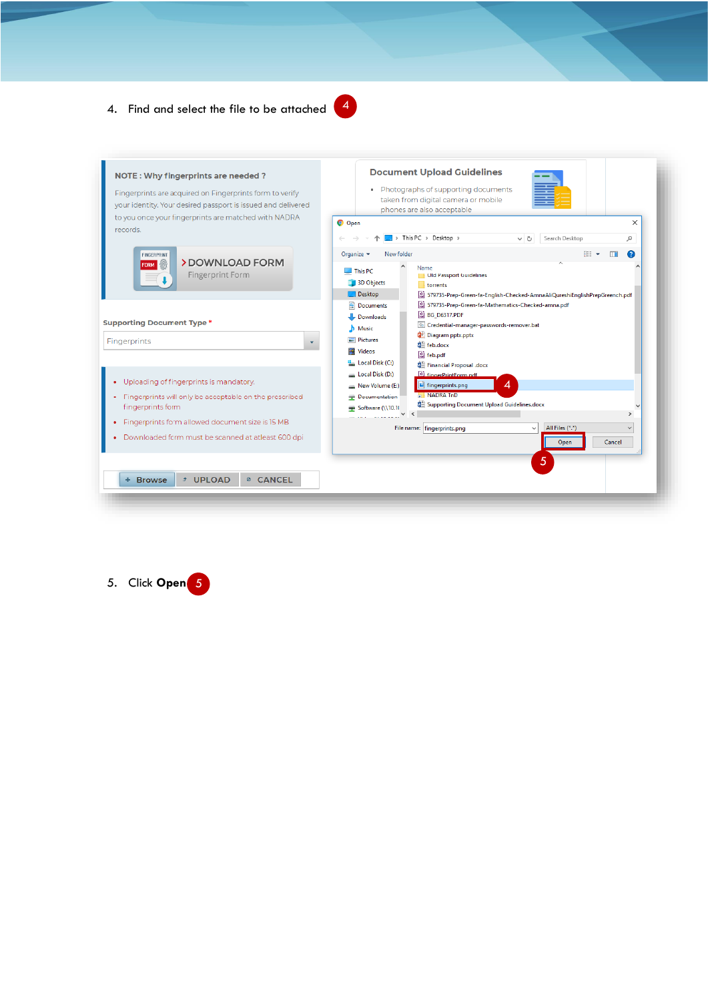## 4. Find and select the file to be attached





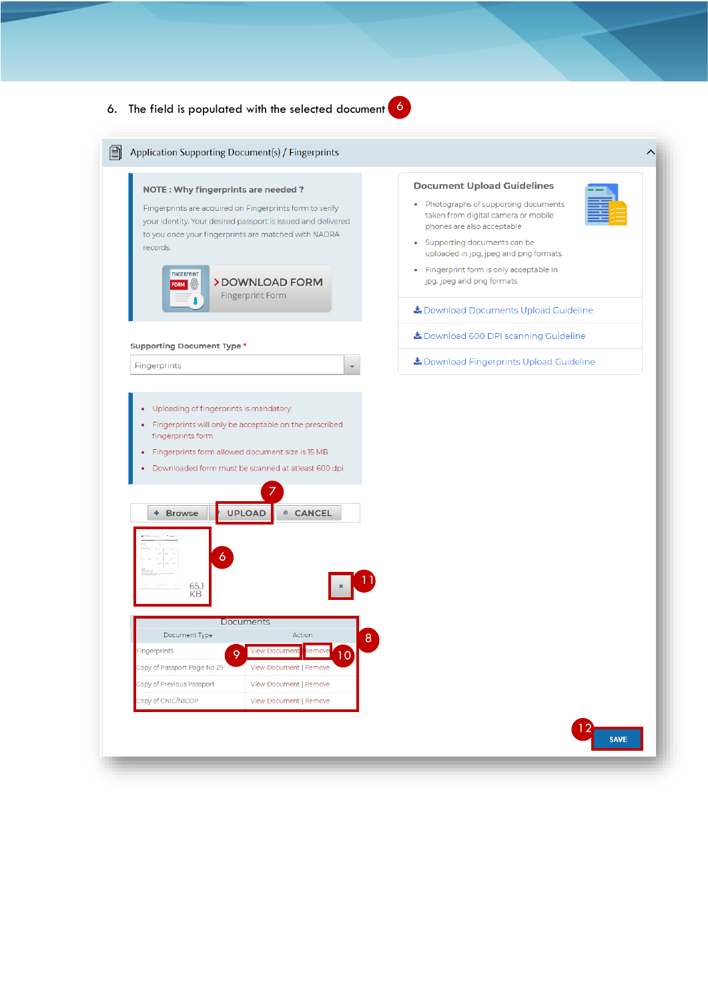## 6. The field is populated with the selected document 6